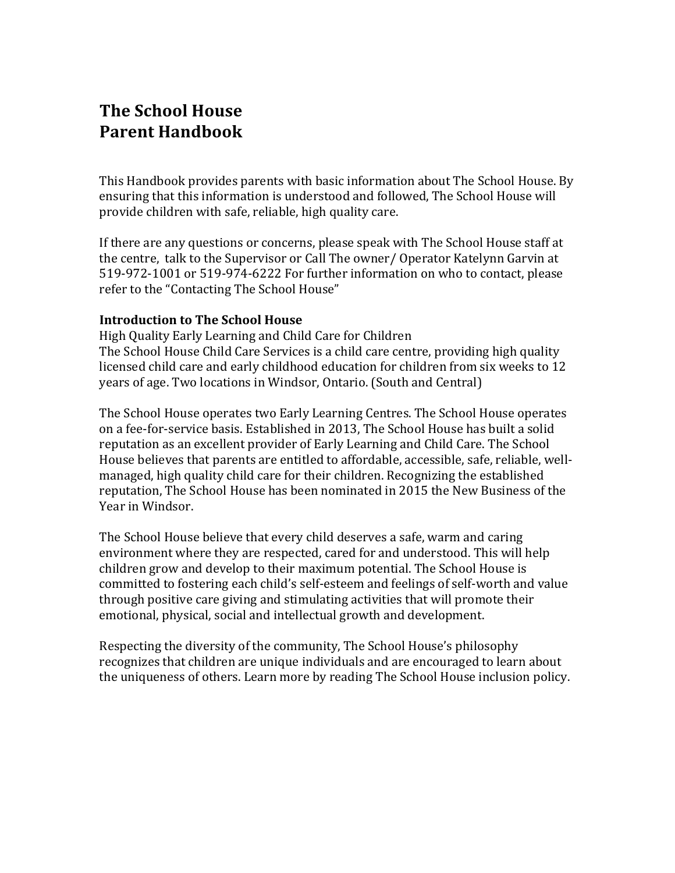# **The School House Parent Handbook**

This Handbook provides parents with basic information about The School House. By ensuring that this information is understood and followed, The School House will provide children with safe, reliable, high quality care.

If there are any questions or concerns, please speak with The School House staff at the centre, talk to the Supervisor or Call The owner/ Operator Katelynn Garvin at 519-972-1001 or 519-974-6222 For further information on who to contact, please refer to the "Contacting The School House"

#### **Introduction to The School House**

High Ouality Early Learning and Child Care for Children The School House Child Care Services is a child care centre, providing high quality licensed child care and early childhood education for children from six weeks to 12 years of age. Two locations in Windsor, Ontario. (South and Central)

The School House operates two Early Learning Centres. The School House operates on a fee-for-service basis. Established in 2013, The School House has built a solid reputation as an excellent provider of Early Learning and Child Care. The School House believes that parents are entitled to affordable, accessible, safe, reliable, wellmanaged, high quality child care for their children. Recognizing the established reputation, The School House has been nominated in 2015 the New Business of the Year in Windsor.

The School House believe that every child deserves a safe, warm and caring environment where they are respected, cared for and understood. This will help children grow and develop to their maximum potential. The School House is committed to fostering each child's self-esteem and feelings of self-worth and value through positive care giving and stimulating activities that will promote their emotional, physical, social and intellectual growth and development.

Respecting the diversity of the community, The School House's philosophy recognizes that children are unique individuals and are encouraged to learn about the uniqueness of others. Learn more by reading The School House inclusion policy.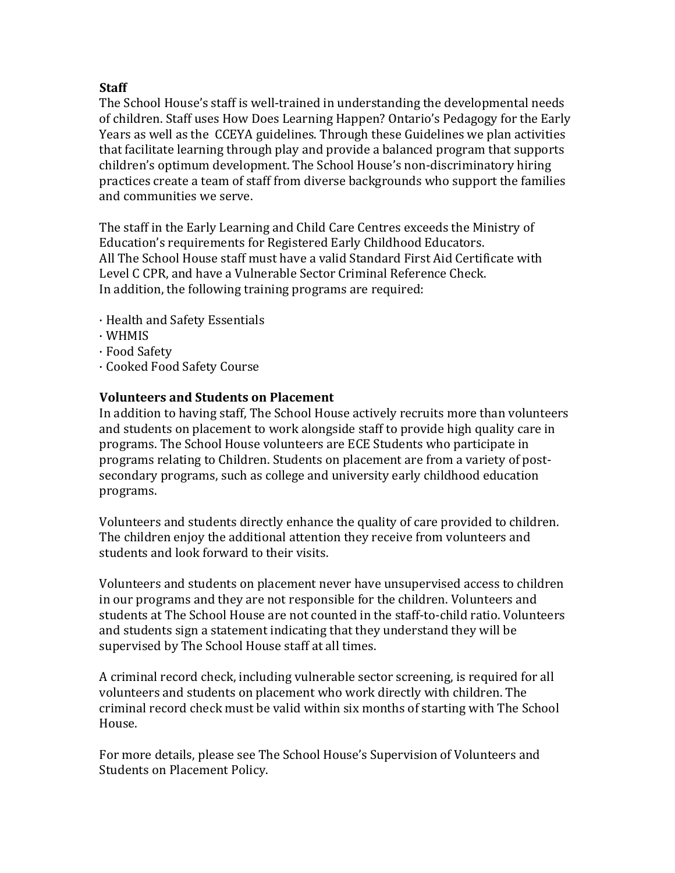## **Staff**

The School House's staff is well-trained in understanding the developmental needs of children. Staff uses How Does Learning Happen? Ontario's Pedagogy for the Early Years as well as the CCEYA guidelines. Through these Guidelines we plan activities that facilitate learning through play and provide a balanced program that supports children's optimum development. The School House's non-discriminatory hiring practices create a team of staff from diverse backgrounds who support the families and communities we serve.

The staff in the Early Learning and Child Care Centres exceeds the Ministry of Education's requirements for Registered Early Childhood Educators. All The School House staff must have a valid Standard First Aid Certificate with Level C CPR, and have a Vulnerable Sector Criminal Reference Check. In addition, the following training programs are required:

- · Health and Safety Essentials
- · WHMIS
- · Food Safety
- · Cooked Food Safety Course

## **Volunteers and Students on Placement**

In addition to having staff. The School House actively recruits more than volunteers and students on placement to work alongside staff to provide high quality care in programs. The School House volunteers are ECE Students who participate in programs relating to Children. Students on placement are from a variety of postsecondary programs, such as college and university early childhood education programs. 

Volunteers and students directly enhance the quality of care provided to children. The children enjoy the additional attention they receive from volunteers and students and look forward to their visits.

Volunteers and students on placement never have unsupervised access to children in our programs and they are not responsible for the children. Volunteers and students at The School House are not counted in the staff-to-child ratio. Volunteers and students sign a statement indicating that they understand they will be supervised by The School House staff at all times.

A criminal record check, including vulnerable sector screening, is required for all volunteers and students on placement who work directly with children. The criminal record check must be valid within six months of starting with The School House. 

For more details, please see The School House's Supervision of Volunteers and Students on Placement Policy.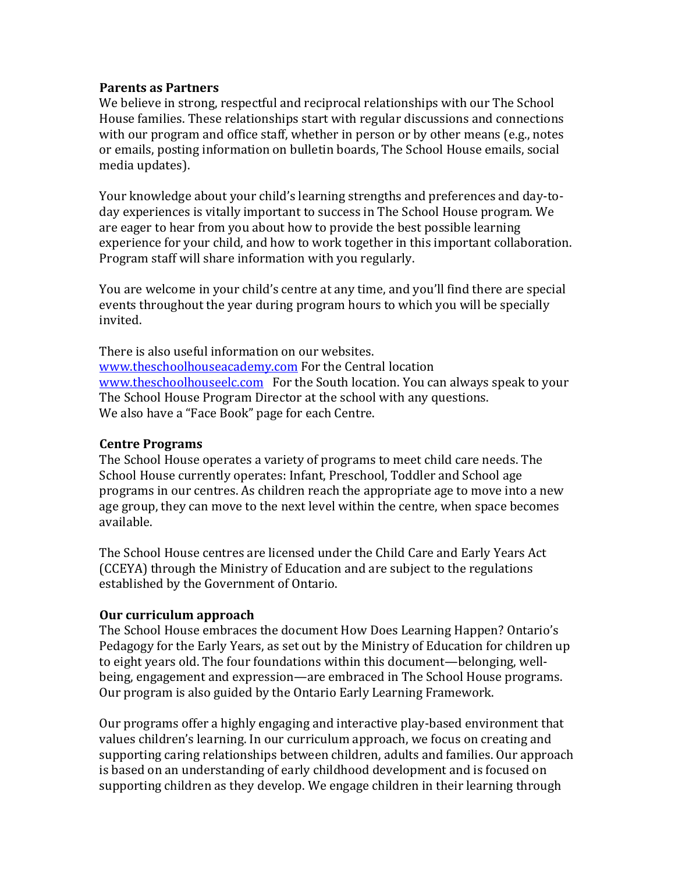#### **Parents as Partners**

We believe in strong, respectful and reciprocal relationships with our The School House families. These relationships start with regular discussions and connections with our program and office staff, whether in person or by other means  $(e.g., \text{ notes})$ or emails, posting information on bulletin boards, The School House emails, social media updates).

Your knowledge about your child's learning strengths and preferences and day-today experiences is vitally important to success in The School House program. We are eager to hear from you about how to provide the best possible learning experience for your child, and how to work together in this important collaboration. Program staff will share information with you regularly.

You are welcome in your child's centre at any time, and you'll find there are special events throughout the year during program hours to which you will be specially invited. 

There is also useful information on our websites. www.theschoolhouseacademy.com For the Central location www.theschoolhouseelc.com For the South location. You can always speak to your The School House Program Director at the school with any questions. We also have a "Face Book" page for each Centre.

#### **Centre Programs**

The School House operates a variety of programs to meet child care needs. The School House currently operates: Infant, Preschool, Toddler and School age programs in our centres. As children reach the appropriate age to move into a new age group, they can move to the next level within the centre, when space becomes available. 

The School House centres are licensed under the Child Care and Early Years Act (CCEYA) through the Ministry of Education and are subject to the regulations established by the Government of Ontario.

#### **Our curriculum approach**

The School House embraces the document How Does Learning Happen? Ontario's Pedagogy for the Early Years, as set out by the Ministry of Education for children up to eight years old. The four foundations within this document—belonging, wellbeing, engagement and expression—are embraced in The School House programs. Our program is also guided by the Ontario Early Learning Framework.

Our programs offer a highly engaging and interactive play-based environment that values children's learning. In our curriculum approach, we focus on creating and supporting caring relationships between children, adults and families. Our approach is based on an understanding of early childhood development and is focused on supporting children as they develop. We engage children in their learning through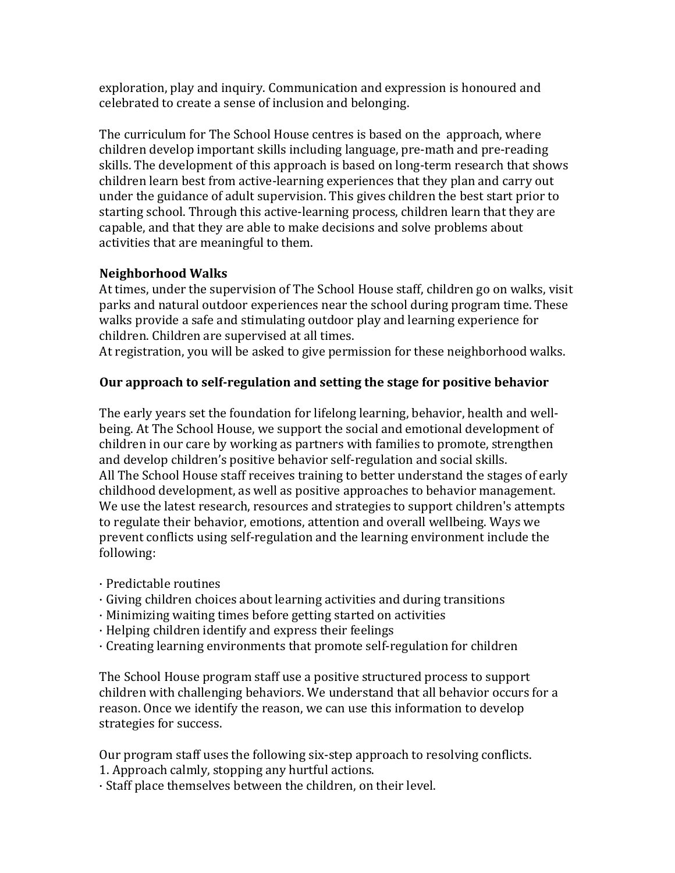exploration, play and inquiry. Communication and expression is honoured and celebrated to create a sense of inclusion and belonging.

The curriculum for The School House centres is based on the approach, where children develop important skills including language, pre-math and pre-reading skills. The development of this approach is based on long-term research that shows children learn best from active-learning experiences that they plan and carry out under the guidance of adult supervision. This gives children the best start prior to starting school. Through this active-learning process, children learn that they are capable, and that they are able to make decisions and solve problems about activities that are meaningful to them.

## **Neighborhood Walks**

At times, under the supervision of The School House staff, children go on walks, visit parks and natural outdoor experiences near the school during program time. These walks provide a safe and stimulating outdoor play and learning experience for children. Children are supervised at all times.

At registration, you will be asked to give permission for these neighborhood walks.

## Our approach to self-regulation and setting the stage for positive behavior

The early years set the foundation for lifelong learning, behavior, health and wellbeing. At The School House, we support the social and emotional development of children in our care by working as partners with families to promote, strengthen and develop children's positive behavior self-regulation and social skills. All The School House staff receives training to better understand the stages of early childhood development, as well as positive approaches to behavior management. We use the latest research, resources and strategies to support children's attempts to regulate their behavior, emotions, attention and overall wellbeing. Ways we prevent conflicts using self-regulation and the learning environment include the following: 

- $\cdot$  Predictable routines
- · Giving children choices about learning activities and during transitions
- $\cdot$  Minimizing waiting times before getting started on activities
- $\cdot$  Helping children identify and express their feelings
- $\cdot$  Creating learning environments that promote self-regulation for children

The School House program staff use a positive structured process to support children with challenging behaviors. We understand that all behavior occurs for a reason. Once we identify the reason, we can use this information to develop strategies for success.

Our program staff uses the following six-step approach to resolving conflicts. 1. Approach calmly, stopping any hurtful actions.

· Staff place themselves between the children, on their level.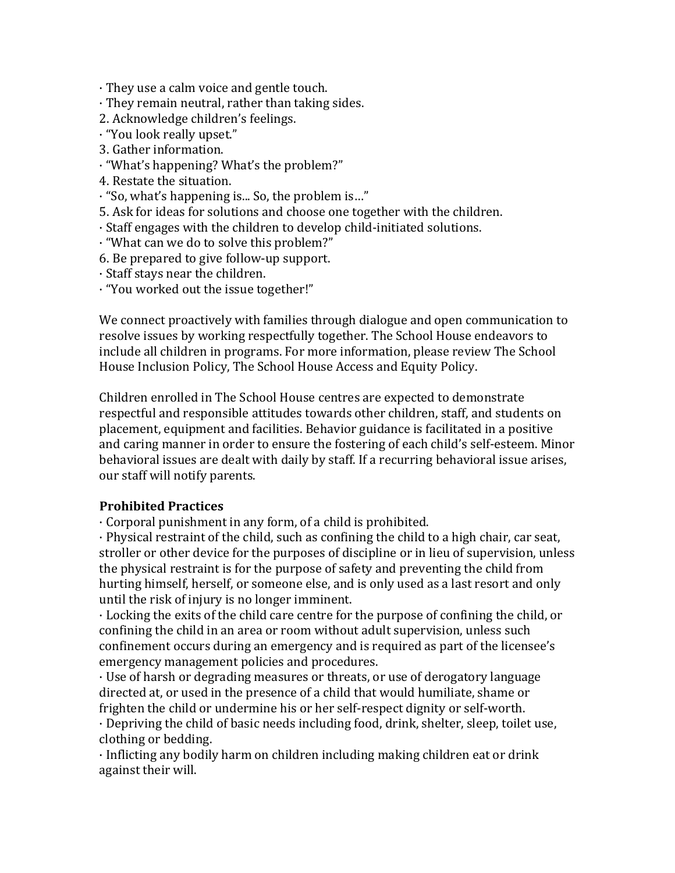$\cdot$  They use a calm voice and gentle touch.

- $\cdot$  They remain neutral, rather than taking sides.
- 2. Acknowledge children's feelings.
- · "You look really upset."
- 3. Gather information.
- · "What's happening? What's the problem?"
- 4. Restate the situation.
- $\cdot$  "So, what's happening is... So, the problem is..."
- 5. Ask for ideas for solutions and choose one together with the children.
- · Staff engages with the children to develop child-initiated solutions.
- · "What can we do to solve this problem?"
- 6. Be prepared to give follow-up support.
- · Staff stays near the children.
- · "You worked out the issue together!"

We connect proactively with families through dialogue and open communication to resolve issues by working respectfully together. The School House endeavors to include all children in programs. For more information, please review The School House Inclusion Policy, The School House Access and Equity Policy.

Children enrolled in The School House centres are expected to demonstrate respectful and responsible attitudes towards other children, staff, and students on placement, equipment and facilities. Behavior guidance is facilitated in a positive and caring manner in order to ensure the fostering of each child's self-esteem. Minor behavioral issues are dealt with daily by staff. If a recurring behavioral issue arises, our staff will notify parents.

## **Prohibited Practices**

 $\cdot$  Corporal punishment in any form, of a child is prohibited.

 $\cdot$  Physical restraint of the child, such as confining the child to a high chair, car seat, stroller or other device for the purposes of discipline or in lieu of supervision, unless the physical restraint is for the purpose of safety and preventing the child from hurting himself, herself, or someone else, and is only used as a last resort and only until the risk of injury is no longer imminent.

 $\cdot$  Locking the exits of the child care centre for the purpose of confining the child, or confining the child in an area or room without adult supervision, unless such confinement occurs during an emergency and is required as part of the licensee's emergency management policies and procedures.

· Use of harsh or degrading measures or threats, or use of derogatory language directed at, or used in the presence of a child that would humiliate, shame or frighten the child or undermine his or her self-respect dignity or self-worth.

 $\cdot$  Depriving the child of basic needs including food, drink, shelter, sleep, toilet use, clothing or bedding.

 $\cdot$  Inflicting any bodily harm on children including making children eat or drink against their will.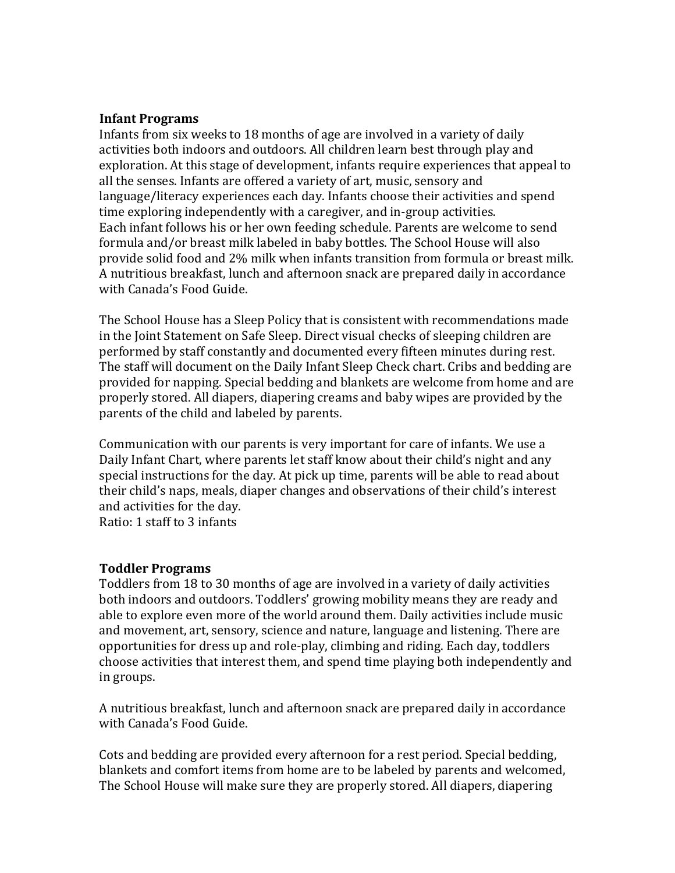#### **Infant Programs**

Infants from six weeks to 18 months of age are involved in a variety of daily activities both indoors and outdoors. All children learn best through play and exploration. At this stage of development, infants require experiences that appeal to all the senses. Infants are offered a variety of art, music, sensory and language/literacy experiences each day. Infants choose their activities and spend time exploring independently with a caregiver, and in-group activities. Each infant follows his or her own feeding schedule. Parents are welcome to send formula and/or breast milk labeled in baby bottles. The School House will also provide solid food and 2% milk when infants transition from formula or breast milk. A nutritious breakfast, lunch and afternoon snack are prepared daily in accordance with Canada's Food Guide.

The School House has a Sleep Policy that is consistent with recommendations made in the Joint Statement on Safe Sleep. Direct visual checks of sleeping children are performed by staff constantly and documented every fifteen minutes during rest. The staff will document on the Daily Infant Sleep Check chart. Cribs and bedding are provided for napping. Special bedding and blankets are welcome from home and are properly stored. All diapers, diapering creams and baby wipes are provided by the parents of the child and labeled by parents.

Communication with our parents is very important for care of infants. We use a Daily Infant Chart, where parents let staff know about their child's night and any special instructions for the day. At pick up time, parents will be able to read about their child's naps, meals, diaper changes and observations of their child's interest and activities for the day.

Ratio: 1 staff to 3 infants

#### **Toddler Programs**

Toddlers from 18 to 30 months of age are involved in a variety of daily activities both indoors and outdoors. Toddlers' growing mobility means they are ready and able to explore even more of the world around them. Daily activities include music and movement, art, sensory, science and nature, language and listening. There are opportunities for dress up and role-play, climbing and riding. Each day, toddlers choose activities that interest them, and spend time playing both independently and in groups.

A nutritious breakfast, lunch and afternoon snack are prepared daily in accordance with Canada's Food Guide.

Cots and bedding are provided every afternoon for a rest period. Special bedding, blankets and comfort items from home are to be labeled by parents and welcomed, The School House will make sure they are properly stored. All diapers, diapering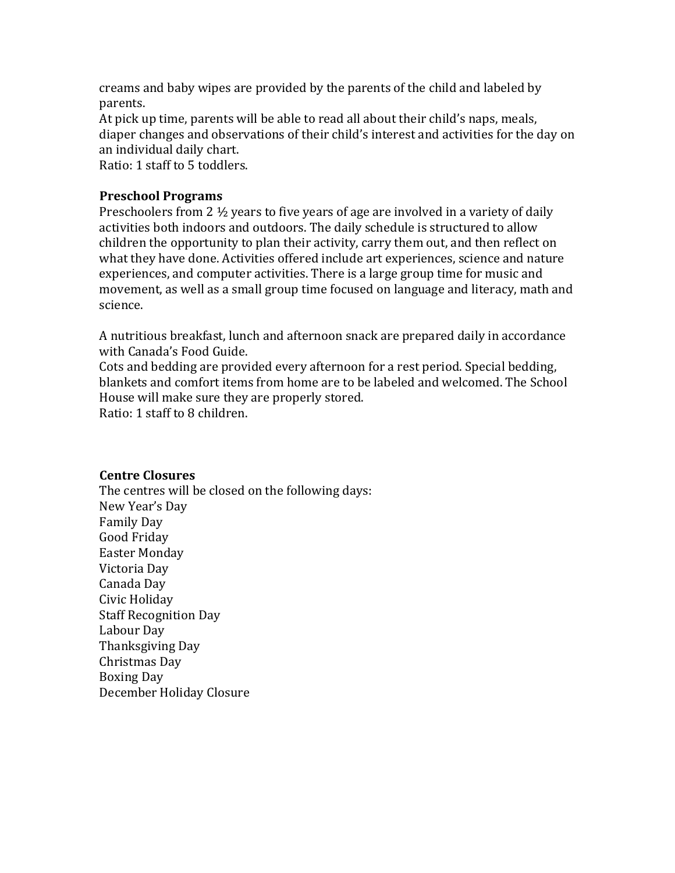creams and baby wipes are provided by the parents of the child and labeled by parents. 

At pick up time, parents will be able to read all about their child's naps, meals, diaper changes and observations of their child's interest and activities for the day on an individual daily chart.

Ratio: 1 staff to 5 toddlers.

## **Preschool Programs**

Preschoolers from 2  $\frac{1}{2}$  years to five years of age are involved in a variety of daily activities both indoors and outdoors. The daily schedule is structured to allow children the opportunity to plan their activity, carry them out, and then reflect on what they have done. Activities offered include art experiences, science and nature experiences, and computer activities. There is a large group time for music and movement, as well as a small group time focused on language and literacy, math and science. 

A nutritious breakfast, lunch and afternoon snack are prepared daily in accordance with Canada's Food Guide.

Cots and bedding are provided every afternoon for a rest period. Special bedding, blankets and comfort items from home are to be labeled and welcomed. The School House will make sure they are properly stored. Ratio: 1 staff to 8 children.

#### **Centre Closures**

The centres will be closed on the following days: New Year's Day Family Day Good Friday Easter Monday Victoria Day Canada Day Civic Holiday **Staff Recognition Day** Labour Day Thanksgiving Day Christmas Day Boxing Day December Holiday Closure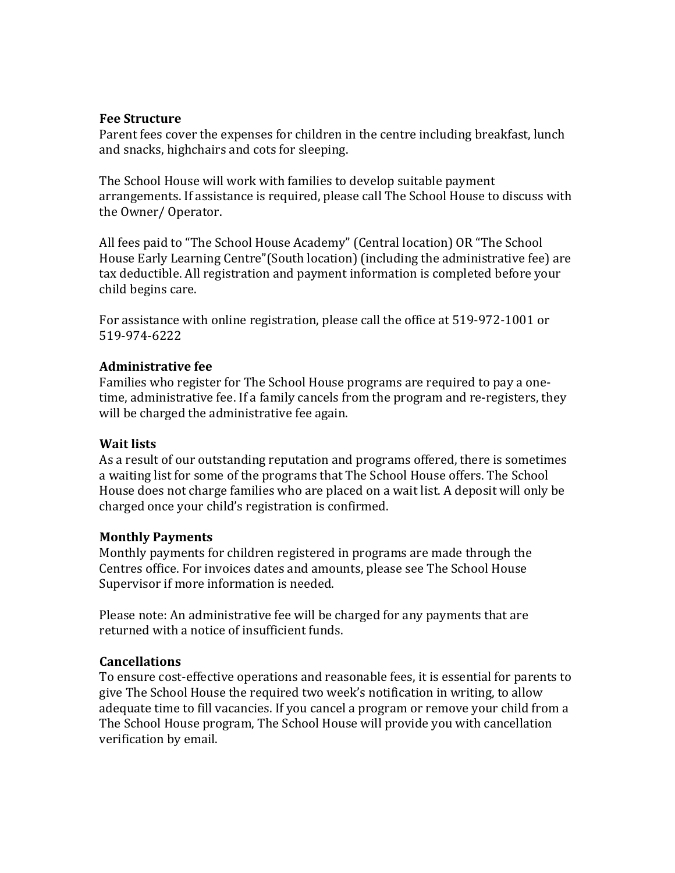#### **Fee Structure**

Parent fees cover the expenses for children in the centre including breakfast, lunch and snacks, highchairs and cots for sleeping.

The School House will work with families to develop suitable payment arrangements. If assistance is required, please call The School House to discuss with the Owner/ Operator.

All fees paid to "The School House Academy" (Central location) OR "The School House Early Learning Centre"(South location) (including the administrative fee) are tax deductible. All registration and payment information is completed before your child begins care.

For assistance with online registration, please call the office at 519-972-1001 or 519-974-6222

#### **Administrative fee**

Families who register for The School House programs are required to pay a onetime, administrative fee. If a family cancels from the program and re-registers, they will be charged the administrative fee again.

#### **Wait lists**

As a result of our outstanding reputation and programs offered, there is sometimes a waiting list for some of the programs that The School House offers. The School House does not charge families who are placed on a wait list. A deposit will only be charged once your child's registration is confirmed.

#### **Monthly Payments**

Monthly payments for children registered in programs are made through the Centres office. For invoices dates and amounts, please see The School House Supervisor if more information is needed.

Please note: An administrative fee will be charged for any payments that are returned with a notice of insufficient funds.

#### **Cancellations**

To ensure cost-effective operations and reasonable fees, it is essential for parents to give The School House the required two week's notification in writing, to allow adequate time to fill vacancies. If you cancel a program or remove your child from a The School House program, The School House will provide you with cancellation verification by email.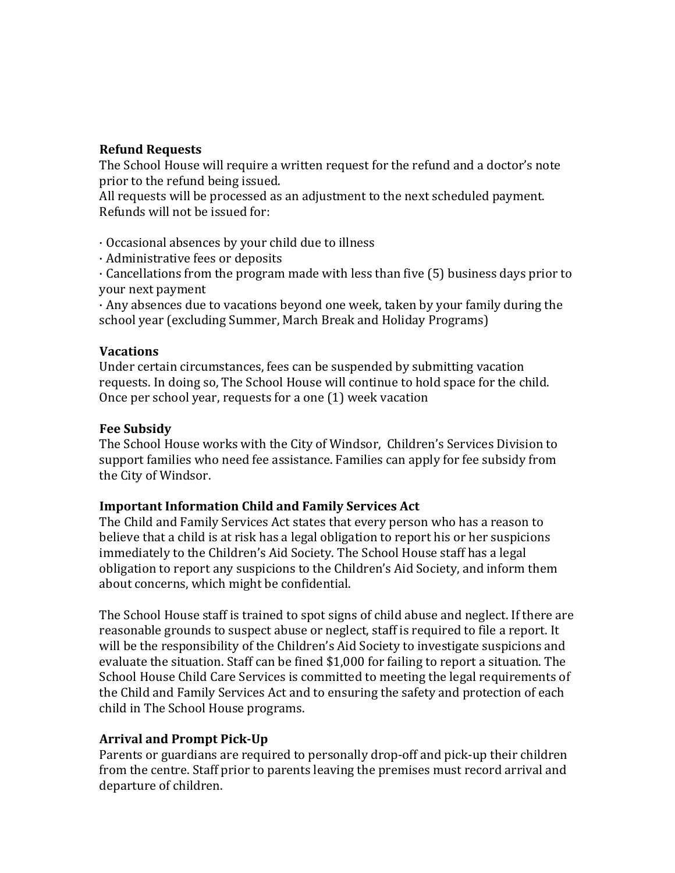#### **Refund Requests**

The School House will require a written request for the refund and a doctor's note prior to the refund being issued.

All requests will be processed as an adjustment to the next scheduled payment. Refunds will not be issued for:

 $\cdot$  Occasional absences by your child due to illness

 $\cdot$  Administrative fees or deposits

 $\cdot$  Cancellations from the program made with less than five (5) business days prior to your next payment

 $\cdot$  Any absences due to vacations beyond one week, taken by your family during the school year (excluding Summer, March Break and Holiday Programs)

#### **Vacations**

Under certain circumstances, fees can be suspended by submitting vacation requests. In doing so, The School House will continue to hold space for the child. Once per school year, requests for a one (1) week vacation

#### **Fee Subsidy**

The School House works with the City of Windsor, Children's Services Division to support families who need fee assistance. Families can apply for fee subsidy from the City of Windsor.

#### **Important Information Child and Family Services Act**

The Child and Family Services Act states that every person who has a reason to believe that a child is at risk has a legal obligation to report his or her suspicions immediately to the Children's Aid Society. The School House staff has a legal obligation to report any suspicions to the Children's Aid Society, and inform them about concerns, which might be confidential.

The School House staff is trained to spot signs of child abuse and neglect. If there are reasonable grounds to suspect abuse or neglect, staff is required to file a report. It will be the responsibility of the Children's Aid Society to investigate suspicions and evaluate the situation. Staff can be fined \$1,000 for failing to report a situation. The School House Child Care Services is committed to meeting the legal requirements of the Child and Family Services Act and to ensuring the safety and protection of each child in The School House programs.

#### **Arrival and Prompt Pick-Up**

Parents or guardians are required to personally drop-off and pick-up their children from the centre. Staff prior to parents leaving the premises must record arrival and departure of children.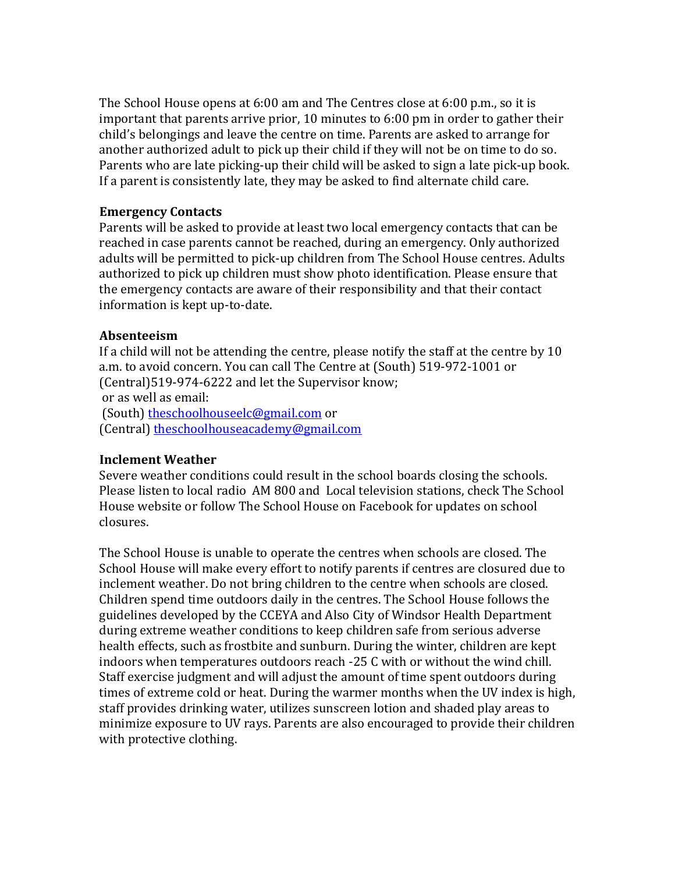The School House opens at  $6:00$  am and The Centres close at  $6:00$  p.m., so it is important that parents arrive prior, 10 minutes to  $6:00$  pm in order to gather their child's belongings and leave the centre on time. Parents are asked to arrange for another authorized adult to pick up their child if they will not be on time to do so. Parents who are late picking-up their child will be asked to sign a late pick-up book. If a parent is consistently late, they may be asked to find alternate child care.

#### **Emergency Contacts**

Parents will be asked to provide at least two local emergency contacts that can be reached in case parents cannot be reached, during an emergency. Only authorized adults will be permitted to pick-up children from The School House centres. Adults authorized to pick up children must show photo identification. Please ensure that the emergency contacts are aware of their responsibility and that their contact information is kept up-to-date.

#### **Absenteeism**

If a child will not be attending the centre, please notify the staff at the centre by  $10$ a.m. to avoid concern. You can call The Centre at (South) 519-972-1001 or (Central)519-974-6222 and let the Supervisor know; or as well as email: (South) theschoolhouseelc@gmail.com or (Central) theschoolhouseacademy@gmail.com

#### **Inclement Weather**

Severe weather conditions could result in the school boards closing the schools. Please listen to local radio AM 800 and Local television stations, check The School House website or follow The School House on Facebook for updates on school closures. 

The School House is unable to operate the centres when schools are closed. The School House will make every effort to notify parents if centres are closured due to inclement weather. Do not bring children to the centre when schools are closed. Children spend time outdoors daily in the centres. The School House follows the guidelines developed by the CCEYA and Also City of Windsor Health Department during extreme weather conditions to keep children safe from serious adverse health effects, such as frostbite and sunburn. During the winter, children are kept indoors when temperatures outdoors reach -25 C with or without the wind chill. Staff exercise judgment and will adjust the amount of time spent outdoors during times of extreme cold or heat. During the warmer months when the UV index is high, staff provides drinking water, utilizes sunscreen lotion and shaded play areas to minimize exposure to UV rays. Parents are also encouraged to provide their children with protective clothing.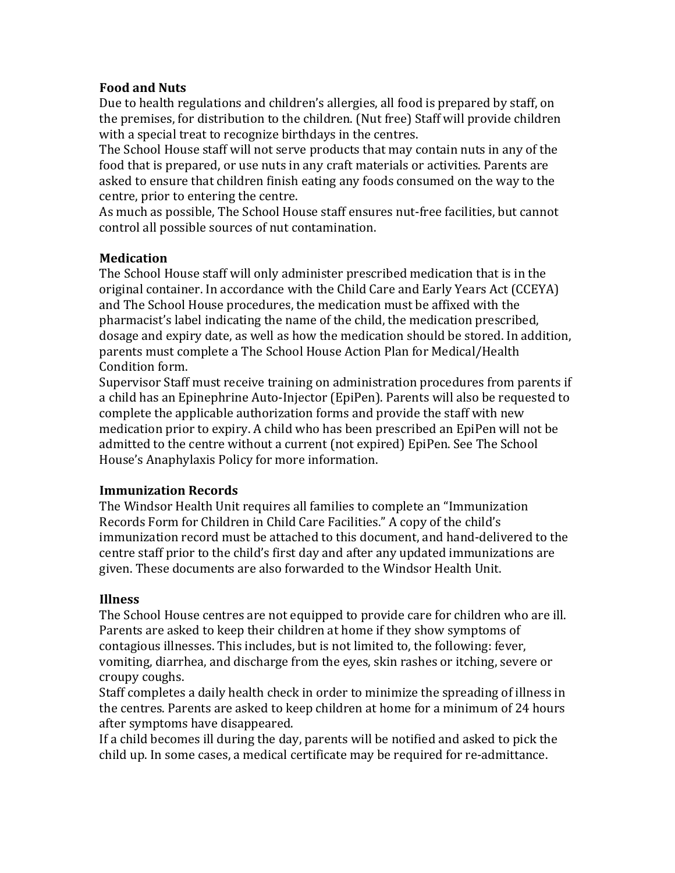#### **Food and Nuts**

Due to health regulations and children's allergies, all food is prepared by staff, on the premises, for distribution to the children. (Nut free) Staff will provide children with a special treat to recognize birthdays in the centres.

The School House staff will not serve products that may contain nuts in any of the food that is prepared, or use nuts in any craft materials or activities. Parents are asked to ensure that children finish eating any foods consumed on the way to the centre, prior to entering the centre.

As much as possible, The School House staff ensures nut-free facilities, but cannot control all possible sources of nut contamination.

#### **Medication**

The School House staff will only administer prescribed medication that is in the original container. In accordance with the Child Care and Early Years Act (CCEYA) and The School House procedures, the medication must be affixed with the pharmacist's label indicating the name of the child, the medication prescribed, dosage and expiry date, as well as how the medication should be stored. In addition, parents must complete a The School House Action Plan for Medical/Health Condition form.

Supervisor Staff must receive training on administration procedures from parents if a child has an Epinephrine Auto-Injector (EpiPen). Parents will also be requested to complete the applicable authorization forms and provide the staff with new medication prior to expiry. A child who has been prescribed an EpiPen will not be admitted to the centre without a current (not expired) EpiPen. See The School House's Anaphylaxis Policy for more information.

## **Immunization Records**

The Windsor Health Unit requires all families to complete an "Immunization Records Form for Children in Child Care Facilities." A copy of the child's immunization record must be attached to this document, and hand-delivered to the centre staff prior to the child's first day and after any updated immunizations are given. These documents are also forwarded to the Windsor Health Unit.

#### **Illness**

The School House centres are not equipped to provide care for children who are ill. Parents are asked to keep their children at home if they show symptoms of contagious illnesses. This includes, but is not limited to, the following: fever, vomiting, diarrhea, and discharge from the eyes, skin rashes or itching, severe or croupy coughs.

Staff completes a daily health check in order to minimize the spreading of illness in the centres. Parents are asked to keep children at home for a minimum of 24 hours after symptoms have disappeared.

If a child becomes ill during the day, parents will be notified and asked to pick the child up. In some cases, a medical certificate may be required for re-admittance.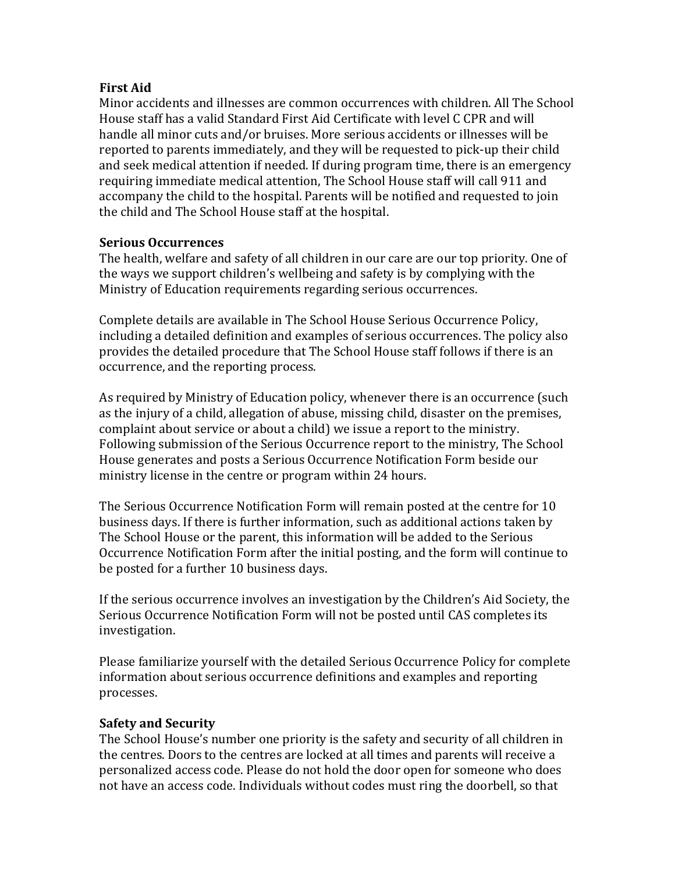## **First Aid**

Minor accidents and illnesses are common occurrences with children. All The School House staff has a valid Standard First Aid Certificate with level C CPR and will handle all minor cuts and/or bruises. More serious accidents or illnesses will be reported to parents immediately, and they will be requested to pick-up their child and seek medical attention if needed. If during program time, there is an emergency requiring immediate medical attention, The School House staff will call 911 and accompany the child to the hospital. Parents will be notified and requested to join the child and The School House staff at the hospital.

## **Serious Occurrences**

The health, welfare and safety of all children in our care are our top priority. One of the ways we support children's wellbeing and safety is by complying with the Ministry of Education requirements regarding serious occurrences.

Complete details are available in The School House Serious Occurrence Policy, including a detailed definition and examples of serious occurrences. The policy also provides the detailed procedure that The School House staff follows if there is an occurrence, and the reporting process.

As required by Ministry of Education policy, whenever there is an occurrence (such as the injury of a child, allegation of abuse, missing child, disaster on the premises, complaint about service or about a child) we issue a report to the ministry. Following submission of the Serious Occurrence report to the ministry, The School House generates and posts a Serious Occurrence Notification Form beside our ministry license in the centre or program within 24 hours.

The Serious Occurrence Notification Form will remain posted at the centre for 10 business days. If there is further information, such as additional actions taken by The School House or the parent, this information will be added to the Serious Occurrence Notification Form after the initial posting, and the form will continue to be posted for a further 10 business days.

If the serious occurrence involves an investigation by the Children's Aid Society, the Serious Occurrence Notification Form will not be posted until CAS completes its investigation. 

Please familiarize yourself with the detailed Serious Occurrence Policy for complete information about serious occurrence definitions and examples and reporting processes. 

## **Safety and Security**

The School House's number one priority is the safety and security of all children in the centres. Doors to the centres are locked at all times and parents will receive a personalized access code. Please do not hold the door open for someone who does not have an access code. Individuals without codes must ring the doorbell, so that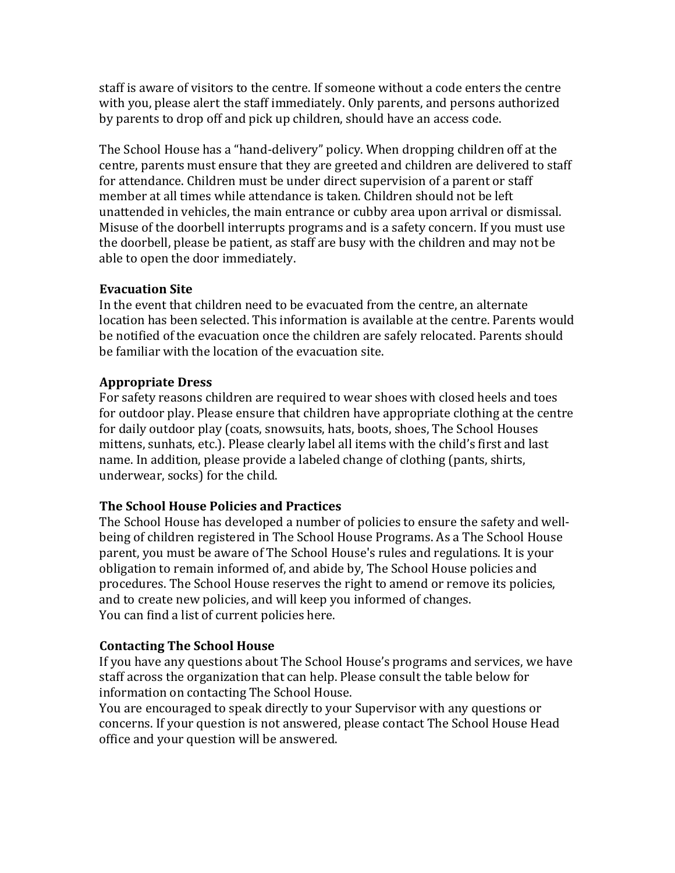staff is aware of visitors to the centre. If someone without a code enters the centre with you, please alert the staff immediately. Only parents, and persons authorized by parents to drop off and pick up children, should have an access code.

The School House has a "hand-delivery" policy. When dropping children off at the centre, parents must ensure that they are greeted and children are delivered to staff for attendance. Children must be under direct supervision of a parent or staff member at all times while attendance is taken. Children should not be left unattended in vehicles, the main entrance or cubby area upon arrival or dismissal. Misuse of the doorbell interrupts programs and is a safety concern. If you must use the doorbell, please be patient, as staff are busy with the children and may not be able to open the door immediately.

## **Evacuation Site**

In the event that children need to be evacuated from the centre, an alternate location has been selected. This information is available at the centre. Parents would be notified of the evacuation once the children are safely relocated. Parents should be familiar with the location of the evacuation site.

## **Appropriate Dress**

For safety reasons children are required to wear shoes with closed heels and toes for outdoor play. Please ensure that children have appropriate clothing at the centre for daily outdoor play (coats, snowsuits, hats, boots, shoes, The School Houses mittens, sunhats, etc.). Please clearly label all items with the child's first and last name. In addition, please provide a labeled change of clothing (pants, shirts, underwear, socks) for the child.

## **The School House Policies and Practices**

The School House has developed a number of policies to ensure the safety and wellbeing of children registered in The School House Programs. As a The School House parent, you must be aware of The School House's rules and regulations. It is your obligation to remain informed of, and abide by, The School House policies and procedures. The School House reserves the right to amend or remove its policies, and to create new policies, and will keep you informed of changes. You can find a list of current policies here.

## **Contacting The School House**

If you have any questions about The School House's programs and services, we have staff across the organization that can help. Please consult the table below for information on contacting The School House.

You are encouraged to speak directly to your Supervisor with any questions or concerns. If your question is not answered, please contact The School House Head office and your question will be answered.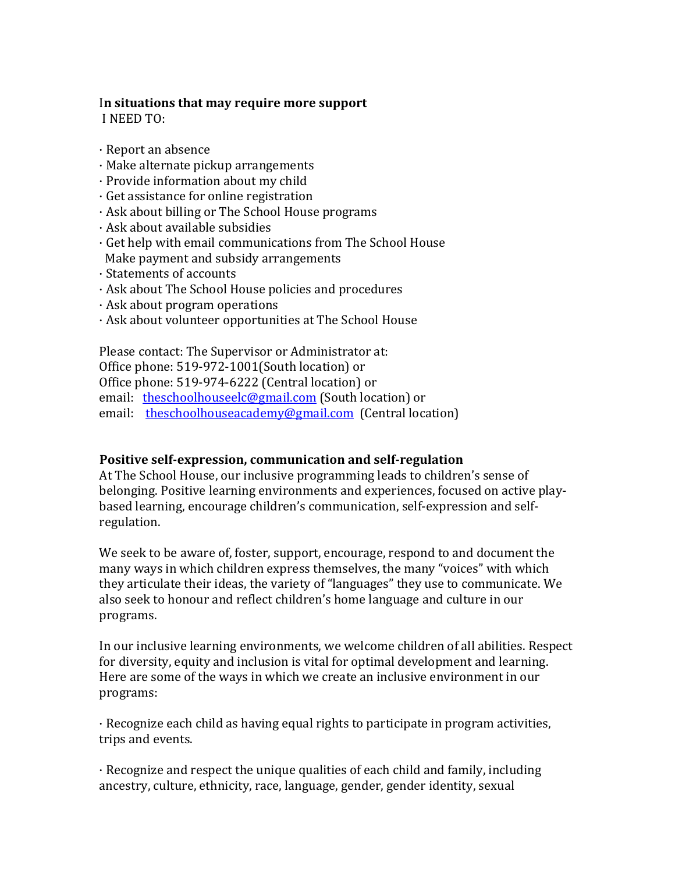## In situations that may require more support

I NEED TO:

- $\cdot$  Report an absence
- $\cdot$  Make alternate pickup arrangements
- · Provide information about my child
- $\cdot$  Get assistance for online registration
- $\cdot$  Ask about billing or The School House programs
- $\cdot$  Ask about available subsidies
- · Get help with email communications from The School House Make payment and subsidy arrangements
- · Statements of accounts
- · Ask about The School House policies and procedures
- $\cdot$  Ask about program operations
- $\cdot$  Ask about volunteer opportunities at The School House

Please contact: The Supervisor or Administrator at: Office phone: 519-972-1001(South location) or Office phone: 519-974-6222 (Central location) or email: theschoolhouseelc@gmail.com (South location) or email: theschoolhouseacademy@gmail.com (Central location)

## **Positive self-expression, communication and self-regulation**

At The School House, our inclusive programming leads to children's sense of belonging. Positive learning environments and experiences, focused on active playbased learning, encourage children's communication, self-expression and selfregulation. 

We seek to be aware of, foster, support, encourage, respond to and document the many ways in which children express themselves, the many "voices" with which they articulate their ideas, the variety of "languages" they use to communicate. We also seek to honour and reflect children's home language and culture in our programs. 

In our inclusive learning environments, we welcome children of all abilities. Respect for diversity, equity and inclusion is vital for optimal development and learning. Here are some of the ways in which we create an inclusive environment in our programs: 

 $\cdot$  Recognize each child as having equal rights to participate in program activities, trips and events.

 $\cdot$  Recognize and respect the unique qualities of each child and family, including ancestry, culture, ethnicity, race, language, gender, gender identity, sexual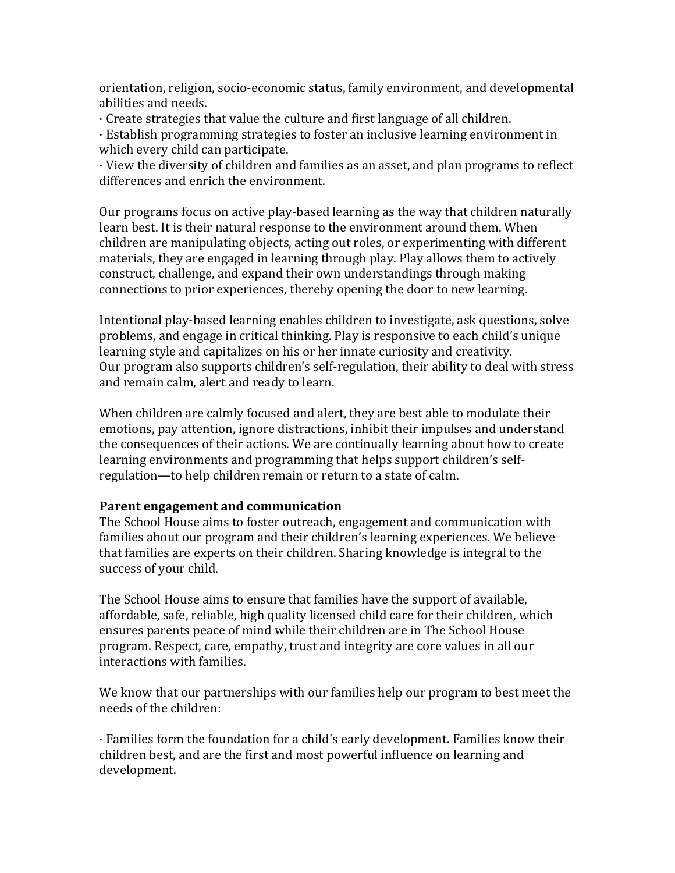orientation, religion, socio-economic status, family environment, and developmental abilities and needs.

 $\cdot$  Create strategies that value the culture and first language of all children.

· Establish programming strategies to foster an inclusive learning environment in which every child can participate.

 $\cdot$  View the diversity of children and families as an asset, and plan programs to reflect differences and enrich the environment.

Our programs focus on active play-based learning as the way that children naturally learn best. It is their natural response to the environment around them. When children are manipulating objects, acting out roles, or experimenting with different materials, they are engaged in learning through play. Play allows them to actively construct, challenge, and expand their own understandings through making connections to prior experiences, thereby opening the door to new learning.

Intentional play-based learning enables children to investigate, ask questions, solve problems, and engage in critical thinking. Play is responsive to each child's unique learning style and capitalizes on his or her innate curiosity and creativity. Our program also supports children's self-regulation, their ability to deal with stress and remain calm, alert and ready to learn.

When children are calmly focused and alert, they are best able to modulate their emotions, pay attention, ignore distractions, inhibit their impulses and understand the consequences of their actions. We are continually learning about how to create learning environments and programming that helps support children's selfregulation—to help children remain or return to a state of calm.

#### **Parent engagement and communication**

The School House aims to foster outreach, engagement and communication with families about our program and their children's learning experiences. We believe that families are experts on their children. Sharing knowledge is integral to the success of your child.

The School House aims to ensure that families have the support of available, affordable, safe, reliable, high quality licensed child care for their children, which ensures parents peace of mind while their children are in The School House program. Respect, care, empathy, trust and integrity are core values in all our interactions with families.

We know that our partnerships with our families help our program to best meet the needs of the children:

 $\cdot$  Families form the foundation for a child's early development. Families know their children best, and are the first and most powerful influence on learning and development.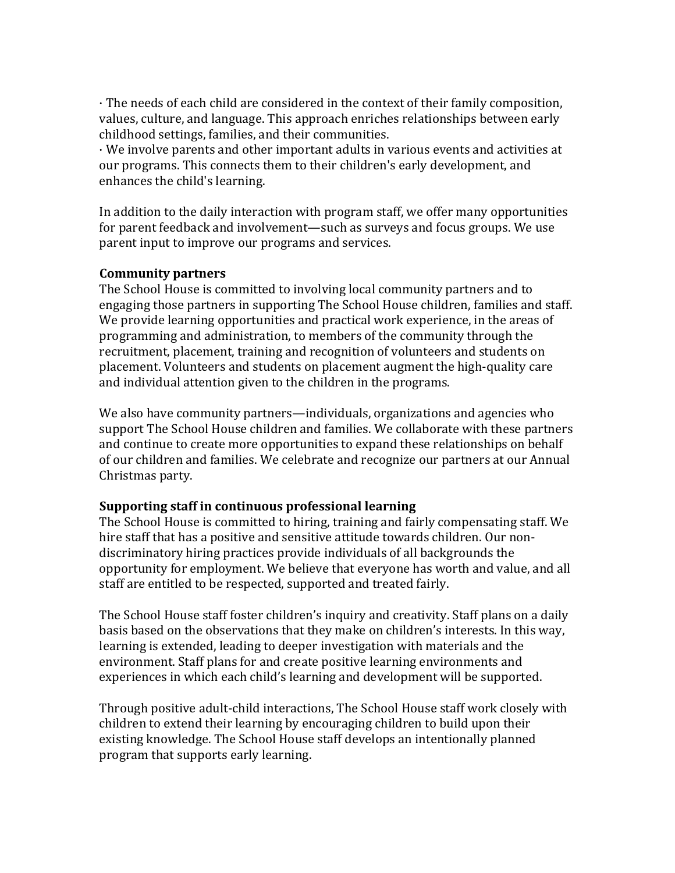· The needs of each child are considered in the context of their family composition, values, culture, and language. This approach enriches relationships between early childhood settings, families, and their communities.

· We involve parents and other important adults in various events and activities at our programs. This connects them to their children's early development, and enhances the child's learning.

In addition to the daily interaction with program staff, we offer many opportunities for parent feedback and involvement—such as surveys and focus groups. We use parent input to improve our programs and services.

#### **Community partners**

The School House is committed to involving local community partners and to engaging those partners in supporting The School House children, families and staff. We provide learning opportunities and practical work experience, in the areas of programming and administration, to members of the community through the recruitment, placement, training and recognition of volunteers and students on placement. Volunteers and students on placement augment the high-quality care and individual attention given to the children in the programs.

We also have community partners—individuals, organizations and agencies who support The School House children and families. We collaborate with these partners and continue to create more opportunities to expand these relationships on behalf of our children and families. We celebrate and recognize our partners at our Annual Christmas party.

#### **Supporting staff in continuous professional learning**

The School House is committed to hiring, training and fairly compensating staff. We hire staff that has a positive and sensitive attitude towards children. Our nondiscriminatory hiring practices provide individuals of all backgrounds the opportunity for employment. We believe that everyone has worth and value, and all staff are entitled to be respected, supported and treated fairly.

The School House staff foster children's inquiry and creativity. Staff plans on a daily basis based on the observations that they make on children's interests. In this way, learning is extended, leading to deeper investigation with materials and the environment. Staff plans for and create positive learning environments and experiences in which each child's learning and development will be supported.

Through positive adult-child interactions, The School House staff work closely with children to extend their learning by encouraging children to build upon their existing knowledge. The School House staff develops an intentionally planned program that supports early learning.